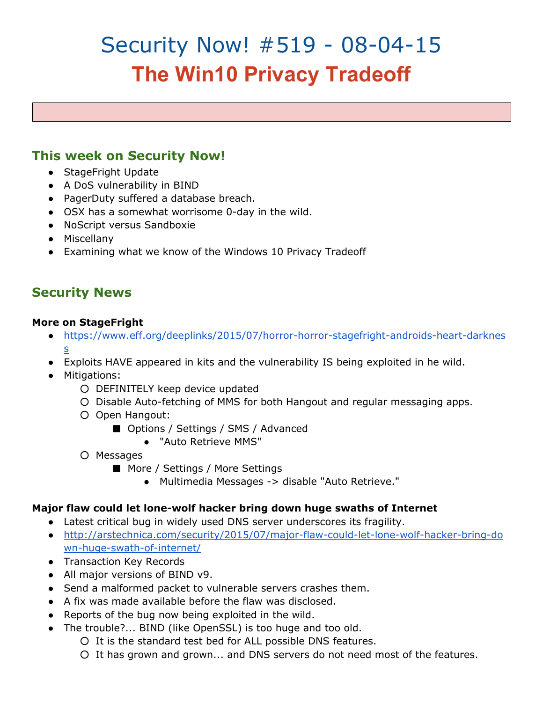# Security Now! #519 - 08-04-15 **The Win10 Privacy Tradeoff**

# **This week on Security Now!**

- StageFright Update
- A DoS vulnerability in BIND
- PagerDuty suffered a database breach.
- OSX has a somewhat worrisome 0-day in the wild.
- NoScript versus Sandboxie
- Miscellany
- Examining what we know of the Windows 10 Privacy Tradeoff

# **Security News**

#### **More on StageFright**

- [https://www.eff.org/deeplinks/2015/07/horror-horror-stagefright-androids-heart-darknes](https://www.eff.org/deeplinks/2015/07/horror-horror-stagefright-androids-heart-darkness) [s](https://www.eff.org/deeplinks/2015/07/horror-horror-stagefright-androids-heart-darkness)
- Exploits HAVE appeared in kits and the vulnerability IS being exploited in he wild.
- Mitigations:
	- DEFINITELY keep device updated
	- Disable Auto-fetching of MMS for both Hangout and regular messaging apps.
	- Open Hangout:
		- Options / Settings / SMS / Advanced
			- "Auto Retrieve MMS"
	- Messages
		- More / Settings / More Settings
			- Multimedia Messages -> disable "Auto Retrieve."

#### **Major flaw could let lone-wolf hacker bring down huge swaths of Internet**

- Latest critical bug in widely used DNS server underscores its fragility.
- [http://arstechnica.com/security/2015/07/major-flaw-could-let-lone-wolf-hacker-bring-do](http://arstechnica.com/security/2015/07/major-flaw-could-let-lone-wolf-hacker-bring-down-huge-swath-of-internet/) [wn-huge-swath-of-internet/](http://arstechnica.com/security/2015/07/major-flaw-could-let-lone-wolf-hacker-bring-down-huge-swath-of-internet/)
- Transaction Key Records
- All major versions of BIND v9.
- Send a malformed packet to vulnerable servers crashes them.
- A fix was made available before the flaw was disclosed.
- Reports of the bug now being exploited in the wild.
- The trouble?... BIND (like OpenSSL) is too huge and too old.
	- It is the standard test bed for ALL possible DNS features.
	- It has grown and grown... and DNS servers do not need most of the features.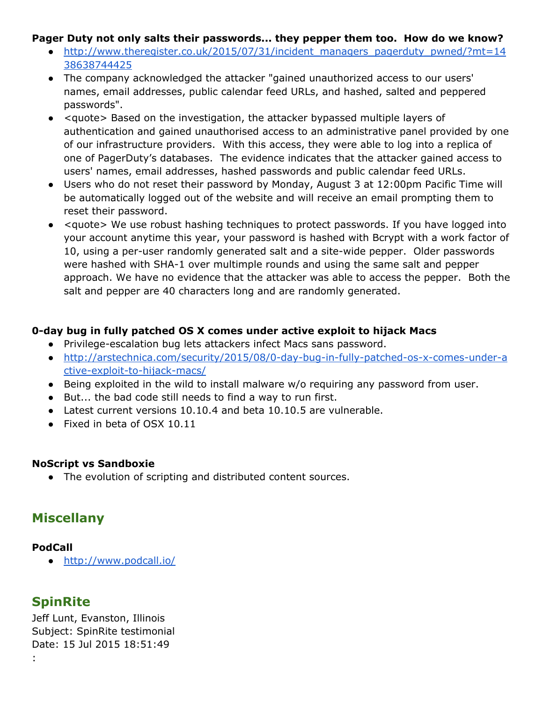#### **Pager Duty not only salts their passwords... they pepper them too. How do we know?**

- [http://www.theregister.co.uk/2015/07/31/incident\\_managers\\_pagerduty\\_pwned/?mt=14](http://www.theregister.co.uk/2015/07/31/incident_managers_pagerduty_pwned/?mt=1438638744425) [38638744425](http://www.theregister.co.uk/2015/07/31/incident_managers_pagerduty_pwned/?mt=1438638744425)
- The company acknowledged the attacker "gained unauthorized access to our users' names, email addresses, public calendar feed URLs, and hashed, salted and peppered passwords".
- <quote> Based on the investigation, the attacker bypassed multiple layers of authentication and gained unauthorised access to an administrative panel provided by one of our infrastructure providers. With this access, they were able to log into a replica of one of PagerDuty's databases. The evidence indicates that the attacker gained access to users' names, email addresses, hashed passwords and public calendar feed URLs.
- Users who do not reset their password by Monday, August 3 at 12:00pm Pacific Time will be automatically logged out of the website and will receive an email prompting them to reset their password.
- <quote> We use robust hashing techniques to protect passwords. If you have logged into your account anytime this year, your password is hashed with Bcrypt with a work factor of 10, using a per-user randomly generated salt and a site-wide pepper. Older passwords were hashed with SHA-1 over multimple rounds and using the same salt and pepper approach. We have no evidence that the attacker was able to access the pepper. Both the salt and pepper are 40 characters long and are randomly generated.

#### **0-day bug in fully patched OS X comes under active exploit to hijack Macs**

- Privilege-escalation bug lets attackers infect Macs sans password.
- [http://arstechnica.com/security/2015/08/0-day-bug-in-fully-patched-os-x-comes-under-a](http://arstechnica.com/security/2015/08/0-day-bug-in-fully-patched-os-x-comes-under-active-exploit-to-hijack-macs/) [ctive-exploit-to-hijack-macs/](http://arstechnica.com/security/2015/08/0-day-bug-in-fully-patched-os-x-comes-under-active-exploit-to-hijack-macs/)
- Being exploited in the wild to install malware w/o requiring any password from user.
- But... the bad code still needs to find a way to run first.
- $\bullet$  Latest current versions 10.10.4 and beta 10.10.5 are vulnerable.
- Fixed in beta of OSX 10.11

#### **NoScript vs Sandboxie**

● The evolution of scripting and distributed content sources.

# **Miscellany**

#### **PodCall**

● <http://www.podcall.io/>

# **SpinRite**

Jeff Lunt, Evanston, Illinois Subject: SpinRite testimonial Date: 15 Jul 2015 18:51:49

: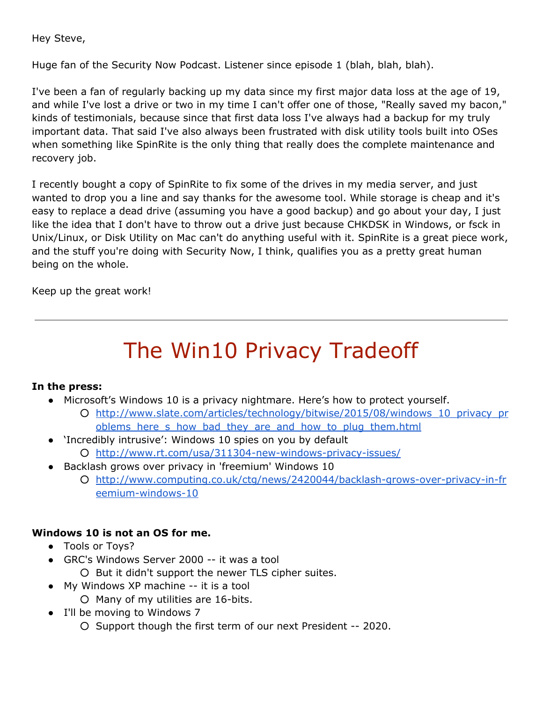Hey Steve,

Huge fan of the Security Now Podcast. Listener since episode 1 (blah, blah, blah).

I've been a fan of regularly backing up my data since my first major data loss at the age of 19, and while I've lost a drive or two in my time I can't offer one of those, "Really saved my bacon," kinds of testimonials, because since that first data loss I've always had a backup for my truly important data. That said I've also always been frustrated with disk utility tools built into OSes when something like SpinRite is the only thing that really does the complete maintenance and recovery job.

I recently bought a copy of SpinRite to fix some of the drives in my media server, and just wanted to drop you a line and say thanks for the awesome tool. While storage is cheap and it's easy to replace a dead drive (assuming you have a good backup) and go about your day, I just like the idea that I don't have to throw out a drive just because CHKDSK in Windows, or fsck in Unix/Linux, or Disk Utility on Mac can't do anything useful with it. SpinRite is a great piece work, and the stuff you're doing with Security Now, I think, qualifies you as a pretty great human being on the whole.

Keep up the great work!

# The Win10 Privacy Tradeoff

#### **In the press:**

- Microsoft's Windows 10 is a privacy nightmare. Here's how to protect yourself.
	- [http://www.slate.com/articles/technology/bitwise/2015/08/windows\\_10\\_privacy\\_pr](http://www.slate.com/articles/technology/bitwise/2015/08/windows_10_privacy_problems_here_s_how_bad_they_are_and_how_to_plug_them.html) oblems here s how bad they are and how to plug them.html
- 'Incredibly intrusive': Windows 10 spies on you by default ○ <http://www.rt.com/usa/311304-new-windows-privacy-issues/>
- Backlash grows over privacy in 'freemium' Windows 10
	- [http://www.computing.co.uk/ctg/news/2420044/backlash-grows-over-privacy-in-fr](http://www.computing.co.uk/ctg/news/2420044/backlash-grows-over-privacy-in-freemium-windows-10) [eemium-windows-10](http://www.computing.co.uk/ctg/news/2420044/backlash-grows-over-privacy-in-freemium-windows-10)

#### **Windows 10 is not an OS for me.**

- Tools or Toys?
- GRC's Windows Server 2000 -- it was a tool
	- But it didn't support the newer TLS cipher suites.
- My Windows XP machine -- it is a tool
	- Many of my utilities are 16-bits.
- I'll be moving to Windows 7
	- Support though the first term of our next President -- 2020.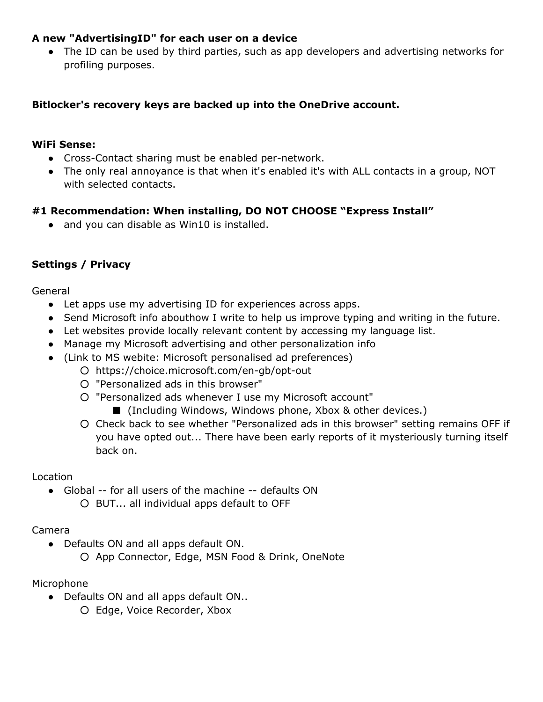#### **A new "AdvertisingID" for each user on a device**

● The ID can be used by third parties, such as app developers and advertising networks for profiling purposes.

#### **Bitlocker's recovery keys are backed up into the OneDrive account.**

#### **WiFi Sense:**

- Cross-Contact sharing must be enabled per-network.
- The only real annoyance is that when it's enabled it's with ALL contacts in a group, NOT with selected contacts.

#### **#1 Recommendation: When installing, DO NOT CHOOSE "Express Install"**

• and you can disable as Win10 is installed.

## **Settings / Privacy**

General

- Let apps use my advertising ID for experiences across apps.
- Send Microsoft info abouthow I write to help us improve typing and writing in the future.
- Let websites provide locally relevant content by accessing my language list.
- Manage my Microsoft advertising and other personalization info
- (Link to MS webite: Microsoft personalised ad preferences)
	- https://choice.microsoft.com/en-gb/opt-out
	- "Personalized ads in this browser"
	- "Personalized ads whenever I use my Microsoft account"
		- (Including Windows, Windows phone, Xbox & other devices.)
	- Check back to see whether "Personalized ads in this browser" setting remains OFF if you have opted out... There have been early reports of it mysteriously turning itself back on.

Location

● Global -- for all users of the machine -- defaults ON ○ BUT... all individual apps default to OFF

#### Camera

- Defaults ON and all apps default ON.
	- App Connector, Edge, MSN Food & Drink, OneNote

Microphone

- Defaults ON and all apps default ON..
	- Edge, Voice Recorder, Xbox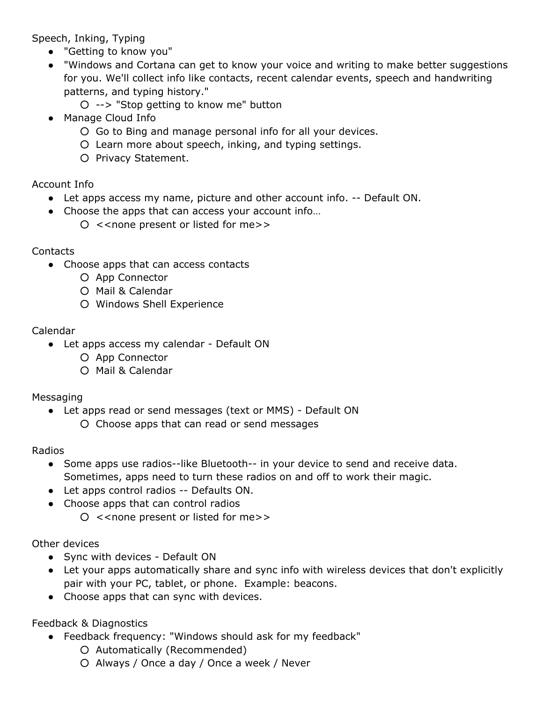Speech, Inking, Typing

- "Getting to know you"
- "Windows and Cortana can get to know your voice and writing to make better suggestions for you. We'll collect info like contacts, recent calendar events, speech and handwriting patterns, and typing history."
	- --> "Stop getting to know me" button
- Manage Cloud Info
	- Go to Bing and manage personal info for all your devices.
	- Learn more about speech, inking, and typing settings.
	- Privacy Statement.

## Account Info

- Let apps access my name, picture and other account info. -- Default ON.
- Choose the apps that can access your account info…
	- O << none present or listed for me >>

## **Contacts**

- Choose apps that can access contacts
	- App Connector
	- Mail & Calendar
	- Windows Shell Experience

## Calendar

- Let apps access my calendar Default ON
	- App Connector
	- Mail & Calendar

# **Messaging**

- Let apps read or send messages (text or MMS) Default ON
	- Choose apps that can read or send messages

#### Radios

- Some apps use radios--like Bluetooth-- in your device to send and receive data. Sometimes, apps need to turn these radios on and off to work their magic.
- Let apps control radios -- Defaults ON.
- Choose apps that can control radios
	- O << none present or listed for me >>

# Other devices

- Sync with devices Default ON
- Let your apps automatically share and sync info with wireless devices that don't explicitly pair with your PC, tablet, or phone. Example: beacons.
- Choose apps that can sync with devices.

# Feedback & Diagnostics

- Feedback frequency: "Windows should ask for my feedback"
	- Automatically (Recommended)
	- Always / Once a day / Once a week / Never